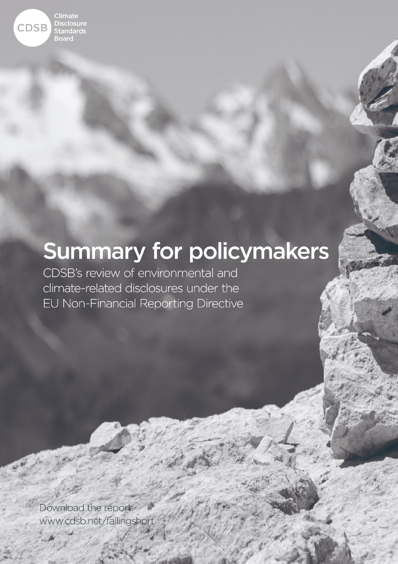

# **Summary for policymakers**

CDSB's review of environmental and climate-related disclosures under the EU Non-Financial Reporting Directive

Download the report: Climate Disclosure Standards Board www.casp.net/rallin Kemperplatz 1, 10785 Berlin

 $T: T \times T \times T \times T \times T$ 

 $\mathbb{Z}$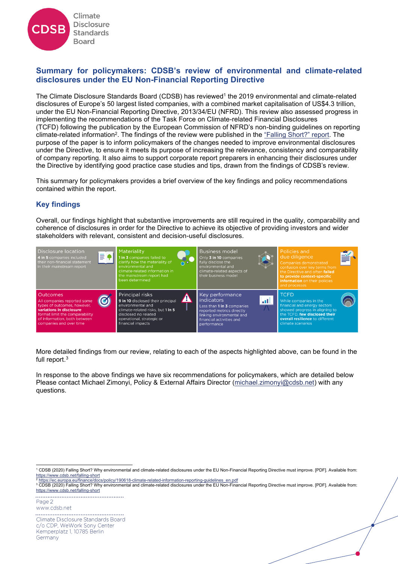

## **Summary for policymakers: CDSB's review of environmental and climate-related disclosures under the EU Non-Financial Reporting Directive**

The Climate Disclosure Standards Board (CDSB) has reviewed<sup>1</sup> the 2019 environmental and climate-related disclosures of Europe's 50 largest listed companies, with a combined market capitalisation of US\$4.3 trillion, under the EU Non-Financial Reporting Directive, 2013/34/EU (NFRD). This review also assessed progress in implementing the recommendations of the Task Force on Climate-related Financial Disclosures (TCFD) following the publication by the European Commission of NFRD's non-binding guidelines on reporting climate-related information<sup>2</sup>. The findings of the review were published in the <u>["Falling Short?" report](https://www.cdsb.net/falling-short)</u>. The purpose of the paper is to inform policymakers of the changes needed to improve environmental disclosures under the Directive, to ensure it meets its purpose of increasing the relevance, consistency and comparability of company reporting. It also aims to support corporate report preparers in enhancing their disclosures under the Directive by identifying good practice case studies and tips, drawn from the findings of CDSB's review.

This summary for policymakers provides a brief overview of the key findings and policy recommendations contained within the report.

## **Key findings**

Overall, our findings highlight that substantive improvements are still required in the quality, comparability and coherence of disclosures in order for the Directive to achieve its objective of providing investors and wider stakeholders with relevant, consistent and decision-useful disclosures.



More detailed findings from our review, relating to each of the aspects highlighted above, can be found in the full report. 3

In response to the above findings we have six recommendations for policymakers, which are detailed below Please contact Michael Zimonyi, Policy & External Affairs Director [\(michael.zimonyi@cdsb.net\)](mailto:michael.zimonyi@cdsb.net) with any questions.

Page 2 www.cdsb.net Climate Disclosure Standards Board c/o CDP, WeWork Sony Center Kemperplatz 1, 10785 Berlin Germany

<sup>1</sup> CDSB (2020) Falling Short? Why environmental and climate-related disclosures under the EU Non-Financial Reporting Directive must improve. [PDF]. Available from: <https://www.cdsb.net/falling-short> <sup>2</sup> [https://ec.europa.eu/finance/docs/policy/190618-climate-related-information-reporting-guidelines\\_en.pdf](https://ec.europa.eu/finance/docs/policy/190618-climate-related-information-reporting-guidelines_en.pdf)

<sup>&</sup>lt;sup>3</sup> CDSB (2020) Falling Short? Why environmental and climate-related disclosures under the EU Non-Financial Reporting Directive must improve. [PDF]. Available from: <https://www.cdsb.net/falling-short>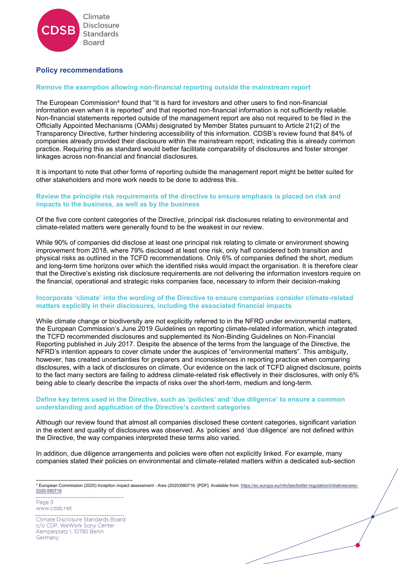

### **Policy recommendations**

#### **Remove the exemption allowing non-financial reporting outside the mainstream report**

The European Commission<sup>4</sup> found that "It is hard for investors and other users to find non-financial information even when it is reported" and that reported non-financial information is not sufficiently reliable. Non-financial statements reported outside of the management report are also not required to be filed in the Officially Appointed Mechanisms (OAMs) designated by Member States pursuant to Article 21(2) of the Transparency Directive, further hindering accessibility of this information. CDSB's review found that 84% of companies already provided their disclosure within the mainstream report; indicating this is already common practice. Requiring this as standard would better facilitate comparability of disclosures and foster stronger linkages across non-financial and financial disclosures.

It is important to note that other forms of reporting outside the management report might be better suited for other stakeholders and more work needs to be done to address this.

#### **Review the principle risk requirements of the directive to ensure emphasis is placed on risk and impacts to the business, as well as by the business**

Of the five core content categories of the Directive, principal risk disclosures relating to environmental and climate-related matters were generally found to be the weakest in our review.

While 90% of companies did disclose at least one principal risk relating to climate or environment showing improvement from 2018, where 79% disclosed at least one risk, only half considered both transition and physical risks as outlined in the TCFD recommendations. Only 6% of companies defined the short, medium and long-term time horizons over which the identified risks would impact the organisation. It is therefore clear that the Directive's existing risk disclosure requirements are not delivering the information investors require on the financial, operational and strategic risks companies face, necessary to inform their decision-making

#### **Incorporate 'climate' into the wording of the Directive to ensure companies consider climate-related matters explicitly in their disclosures, including the associated financial impacts**

While climate change or biodiversity are not explicitly referred to in the NFRD under environmental matters, the European Commission's June 2019 Guidelines on reporting climate-related information, which integrated the TCFD recommended disclosures and supplemented its Non-Binding Guidelines on Non-Financial Reporting published in July 2017. Despite the absence of the terms from the language of the Directive, the NFRD's intention appears to cover climate under the auspices of "environmental matters". This ambiguity, however, has created uncertainties for preparers and inconsistences in reporting practice when comparing disclosures, with a lack of disclosures on climate. Our evidence on the lack of TCFD aligned disclosure, points to the fact many sectors are failing to address climate-related risk effectively in their disclosures, with only 6% being able to clearly describe the impacts of risks over the short-term, medium and long-term.

#### **Define key terms used in the Directive, such as 'policies' and 'due diligence' to ensure a common understanding and application of the Directive's content categories**

Although our review found that almost all companies disclosed these content categories, significant variation in the extent and quality of disclosures was observed. As 'policies' and 'due diligence' are not defined within the Directive, the way companies interpreted these terms also varied.

In addition, due diligence arrangements and policies were often not explicitly linked. For example, many companies stated their policies on environmental and climate-related matters within a dedicated sub-section

Page 3 www.cdsb.net Climate Disclosure Standards Board c/o CDP, WeWork Sony Center Kemperplatz 1, 10785 Berlin Germany

<sup>4</sup> European Commission (2020) Inception impact assessment - Ares (2020)580716. [PDF]. Available from[: https://ec.europa.eu/info/law/better-regulation/initiatives/ares-](https://ec.europa.eu/info/law/better-regulation/initiatives/ares-2020-580716)[2020-580716](https://ec.europa.eu/info/law/better-regulation/initiatives/ares-2020-580716)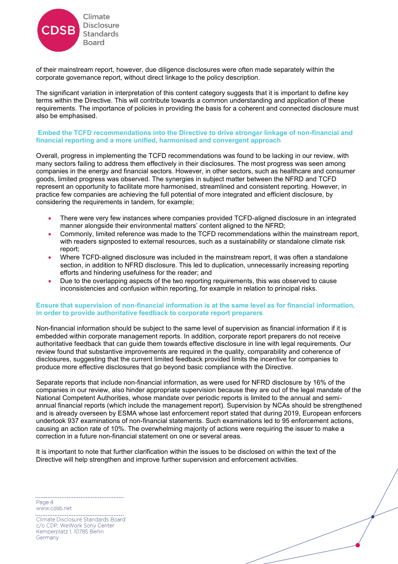

of their mainstream report, however, due diligence disclosures were often made separately within the corporate governance report, without direct linkage to the policy description.

The significant variation in interpretation of this content category suggests that it is important to define key terms within the Directive. This will contribute towards a common understanding and application of these requirements. The importance of policies in providing the basis for a coherent and connected disclosure must also be emphasised.

#### **Embed the TCFD recommendations into the Directive to drive stronger linkage of non-financial and financial reporting and a more unified, harmonised and convergent approach**

Overall, progress in implementing the TCFD recommendations was found to be lacking in our review, with many sectors failing to address them effectively in their disclosures. The most progress was seen among companies in the energy and financial sectors. However, in other sectors, such as healthcare and consumer goods, limited progress was observed. The synergies in subject matter between the NFRD and TCFD represent an opportunity to facilitate more harmonised, streamlined and consistent reporting. However, in practice few companies are achieving the full potential of more integrated and efficient disclosure, by considering the requirements in tandem, for example;

- There were very few instances where companies provided TCFD-aligned disclosure in an integrated manner alongside their environmental matters' content aligned to the NFRD;
- Commonly, limited reference was made to the TCFD recommendations within the mainstream report, with readers signposted to external resources, such as a sustainability or standalone climate risk report;
- Where TCFD-aligned disclosure was included in the mainstream report, it was often a standalone section, in addition to NFRD disclosure. This led to duplication, unnecessarily increasing reporting efforts and hindering usefulness for the reader; and
- Due to the overlapping aspects of the two reporting requirements, this was observed to cause inconsistencies and confusion within reporting, for example in relation to principal risks.

#### **Ensure that supervision of non-financial information is at the same level as for financial information, in order to provide authoritative feedback to corporate report preparers**

Non-financial information should be subject to the same level of supervision as financial information if it is embedded within corporate management reports. In addition, corporate report preparers do not receive authoritative feedback that can guide them towards effective disclosure in line with legal requirements. Our review found that substantive improvements are required in the quality, comparability and coherence of disclosures, suggesting that the current limited feedback provided limits the incentive for companies to produce more effective disclosures that go beyond basic compliance with the Directive.

Separate reports that include non-financial information, as were used for NFRD disclosure by 16% of the companies in our review, also hinder appropriate supervision because they are out of the legal mandate of the National Competent Authorities, whose mandate over periodic reports is limited to the annual and semiannual financial reports (which include the management report). Supervision by NCAs should be strengthened and is already overseen by ESMA whose last enforcement report stated that during 2019, European enforcers undertook 937 examinations of non-financial statements. Such examinations led to 95 enforcement actions, causing an action rate of 10%. The overwhelming majority of actions were requiring the issuer to make a correction in a future non-financial statement on one or several areas.

It is important to note that further clarification within the issues to be disclosed on within the text of the Directive will help strengthen and improve further supervision and enforcement activities.

Page 4 www.cdsb.net

Climate Disclosure Standards Board c/o CDP, WeWork Sony Center Kemperplatz 1, 10785 Berlin Germany